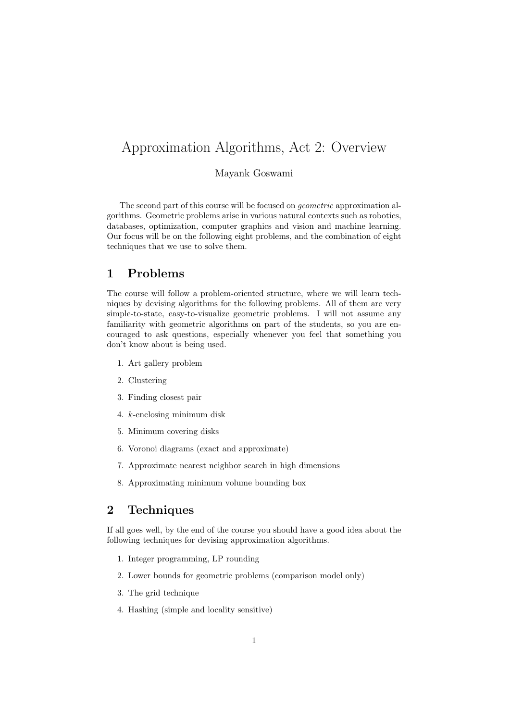# Approximation Algorithms, Act 2: Overview

#### Mayank Goswami

The second part of this course will be focused on geometric approximation algorithms. Geometric problems arise in various natural contexts such as robotics, databases, optimization, computer graphics and vision and machine learning. Our focus will be on the following eight problems, and the combination of eight techniques that we use to solve them.

### 1 Problems

The course will follow a problem-oriented structure, where we will learn techniques by devising algorithms for the following problems. All of them are very simple-to-state, easy-to-visualize geometric problems. I will not assume any familiarity with geometric algorithms on part of the students, so you are encouraged to ask questions, especially whenever you feel that something you don't know about is being used.

- 1. Art gallery problem
- 2. Clustering
- 3. Finding closest pair
- 4. k-enclosing minimum disk
- 5. Minimum covering disks
- 6. Voronoi diagrams (exact and approximate)
- 7. Approximate nearest neighbor search in high dimensions
- 8. Approximating minimum volume bounding box

# 2 Techniques

If all goes well, by the end of the course you should have a good idea about the following techniques for devising approximation algorithms.

- 1. Integer programming, LP rounding
- 2. Lower bounds for geometric problems (comparison model only)
- 3. The grid technique
- 4. Hashing (simple and locality sensitive)